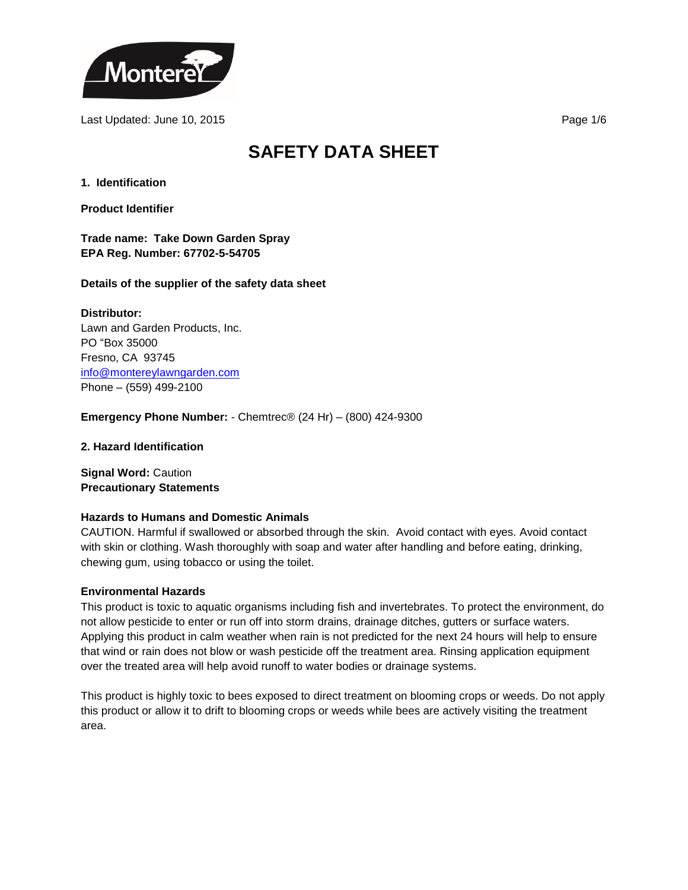

Last Updated: June 10, 2015 **Page 1/6 Page 1/6 Page 1/6** 

# **SAFETY DATA SHEET**

**1. Identification**

**Product Identifier**

**Trade name: Take Down Garden Spray EPA Reg. Number: 67702-5-54705**

# **Details of the supplier of the safety data sheet**

**Distributor:** Lawn and Garden Products, Inc. PO "Box 35000 Fresno, CA 93745 [info@montereylawngarden.com](mailto:info@montereylawngarden.com) Phone – (559) 499-2100

**Emergency Phone Number:** - Chemtrec® (24 Hr) – (800) 424-9300

**2. Hazard Identification**

**Signal Word:** Caution **Precautionary Statements**

# **Hazards to Humans and Domestic Animals**

CAUTION. Harmful if swallowed or absorbed through the skin. Avoid contact with eyes. Avoid contact with skin or clothing. Wash thoroughly with soap and water after handling and before eating, drinking, chewing gum, using tobacco or using the toilet.

#### **Environmental Hazards**

This product is toxic to aquatic organisms including fish and invertebrates. To protect the environment, do not allow pesticide to enter or run off into storm drains, drainage ditches, gutters or surface waters. Applying this product in calm weather when rain is not predicted for the next 24 hours will help to ensure that wind or rain does not blow or wash pesticide off the treatment area. Rinsing application equipment over the treated area will help avoid runoff to water bodies or drainage systems.

This product is highly toxic to bees exposed to direct treatment on blooming crops or weeds. Do not apply this product or allow it to drift to blooming crops or weeds while bees are actively visiting the treatment area.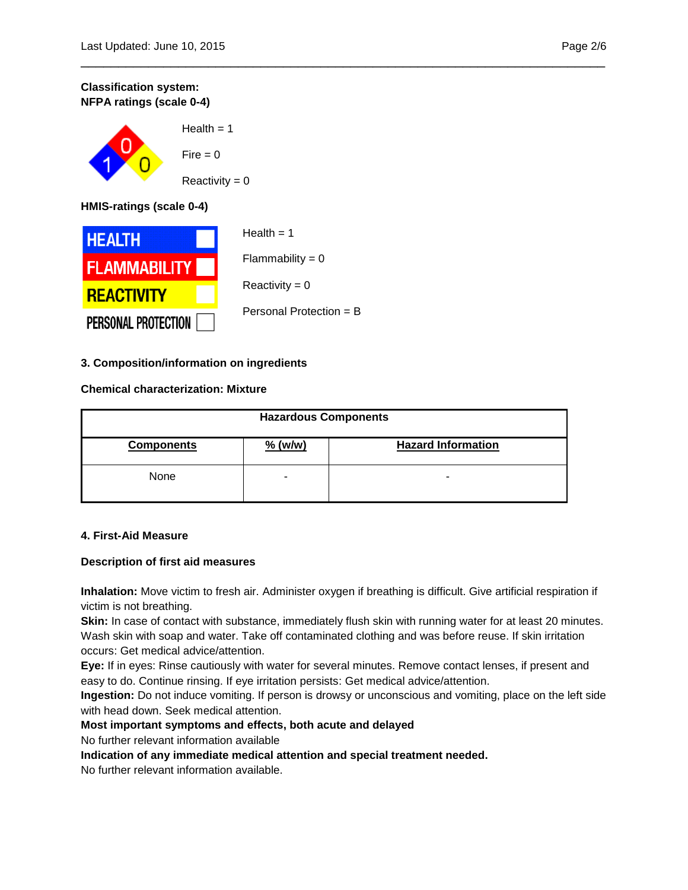# **Classification system: NFPA ratings (scale 0-4)**

 $Health = 1$  $Fire = 0$  $Reactivity = 0$ 

**HMIS-ratings (scale 0-4)**



# **3. Composition/information on ingredients**

# **Chemical characterization: Mixture**

| <b>Hazardous Components</b> |                          |                           |
|-----------------------------|--------------------------|---------------------------|
| <b>Components</b>           | $%$ (w/w)                | <b>Hazard Information</b> |
| None                        | $\overline{\phantom{a}}$ | -                         |

\_\_\_\_\_\_\_\_\_\_\_\_\_\_\_\_\_\_\_\_\_\_\_\_\_\_\_\_\_\_\_\_\_\_\_\_\_\_\_\_\_\_\_\_\_\_\_\_\_\_\_\_\_\_\_\_\_\_\_\_\_\_\_\_\_\_\_\_\_\_

# **4. First-Aid Measure**

# **Description of first aid measures**

**Inhalation:** Move victim to fresh air. Administer oxygen if breathing is difficult. Give artificial respiration if victim is not breathing.

**Skin:** In case of contact with substance, immediately flush skin with running water for at least 20 minutes. Wash skin with soap and water. Take off contaminated clothing and was before reuse. If skin irritation occurs: Get medical advice/attention.

**Eye:** If in eyes: Rinse cautiously with water for several minutes. Remove contact lenses, if present and easy to do. Continue rinsing. If eye irritation persists: Get medical advice/attention.

**Ingestion:** Do not induce vomiting. If person is drowsy or unconscious and vomiting, place on the left side with head down. Seek medical attention.

# **Most important symptoms and effects, both acute and delayed**

No further relevant information available

**Indication of any immediate medical attention and special treatment needed.**

No further relevant information available.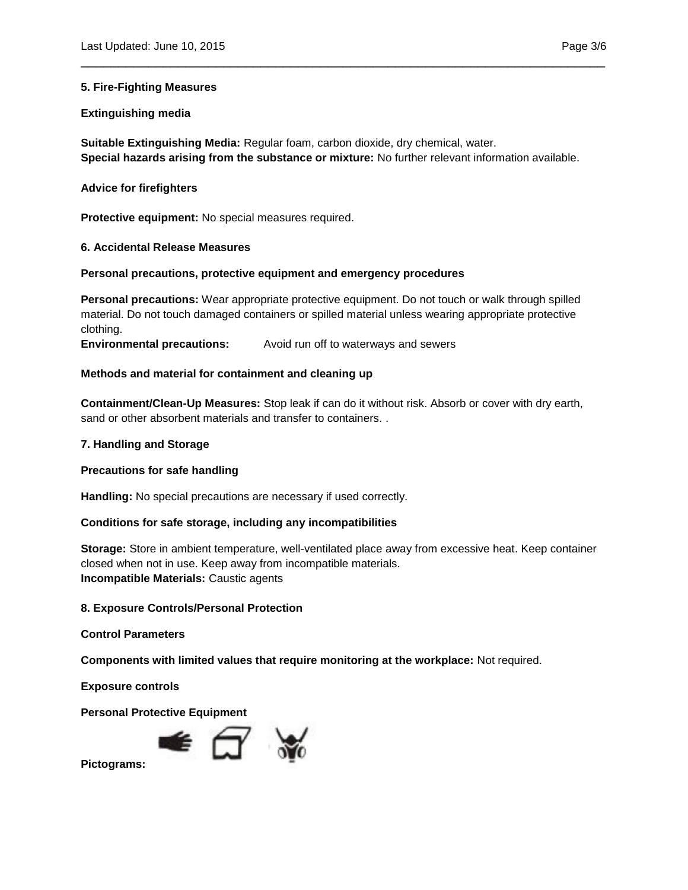#### **5. Fire-Fighting Measures**

#### **Extinguishing media**

**Suitable Extinguishing Media:** Regular foam, carbon dioxide, dry chemical, water. **Special hazards arising from the substance or mixture:** No further relevant information available.

\_\_\_\_\_\_\_\_\_\_\_\_\_\_\_\_\_\_\_\_\_\_\_\_\_\_\_\_\_\_\_\_\_\_\_\_\_\_\_\_\_\_\_\_\_\_\_\_\_\_\_\_\_\_\_\_\_\_\_\_\_\_\_\_\_\_\_\_\_\_

#### **Advice for firefighters**

**Protective equipment:** No special measures required.

# **6. Accidental Release Measures**

#### **Personal precautions, protective equipment and emergency procedures**

**Personal precautions:** Wear appropriate protective equipment. Do not touch or walk through spilled material. Do not touch damaged containers or spilled material unless wearing appropriate protective clothing.

**Environmental precautions:** Avoid run off to waterways and sewers

#### **Methods and material for containment and cleaning up**

**Containment/Clean-Up Measures:** Stop leak if can do it without risk. Absorb or cover with dry earth, sand or other absorbent materials and transfer to containers. .

#### **7. Handling and Storage**

#### **Precautions for safe handling**

**Handling:** No special precautions are necessary if used correctly.

# **Conditions for safe storage, including any incompatibilities**

**Storage:** Store in ambient temperature, well-ventilated place away from excessive heat. Keep container closed when not in use. Keep away from incompatible materials. **Incompatible Materials:** Caustic agents

#### **8. Exposure Controls/Personal Protection**

**Control Parameters**

**Components with limited values that require monitoring at the workplace:** Not required.

**Exposure controls**

**Personal Protective Equipment**



**Pictograms:**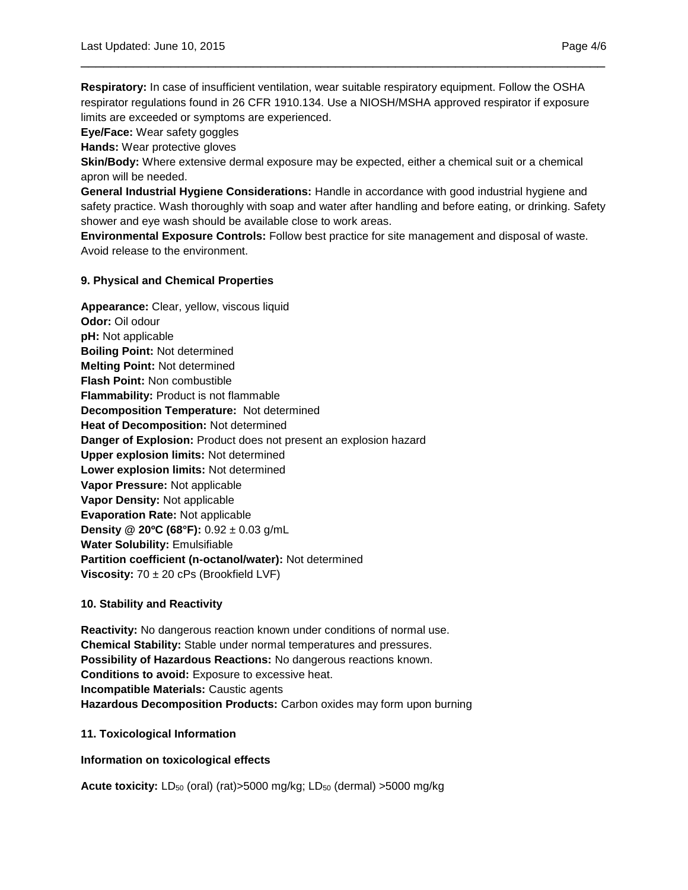**Respiratory:** In case of insufficient ventilation, wear suitable respiratory equipment. Follow the OSHA respirator regulations found in 26 CFR 1910.134. Use a NIOSH/MSHA approved respirator if exposure limits are exceeded or symptoms are experienced.

\_\_\_\_\_\_\_\_\_\_\_\_\_\_\_\_\_\_\_\_\_\_\_\_\_\_\_\_\_\_\_\_\_\_\_\_\_\_\_\_\_\_\_\_\_\_\_\_\_\_\_\_\_\_\_\_\_\_\_\_\_\_\_\_\_\_\_\_\_\_

**Eye/Face:** Wear safety goggles

**Hands:** Wear protective gloves

**Skin/Body:** Where extensive dermal exposure may be expected, either a chemical suit or a chemical apron will be needed.

**General Industrial Hygiene Considerations:** Handle in accordance with good industrial hygiene and safety practice. Wash thoroughly with soap and water after handling and before eating, or drinking. Safety shower and eye wash should be available close to work areas.

**Environmental Exposure Controls:** Follow best practice for site management and disposal of waste. Avoid release to the environment.

# **9. Physical and Chemical Properties**

**Appearance:** Clear, yellow, viscous liquid **Odor:** Oil odour **pH:** Not applicable **Boiling Point:** Not determined **Melting Point:** Not determined **Flash Point:** Non combustible **Flammability:** Product is not flammable **Decomposition Temperature:** Not determined **Heat of Decomposition:** Not determined **Danger of Explosion:** Product does not present an explosion hazard **Upper explosion limits:** Not determined **Lower explosion limits:** Not determined **Vapor Pressure:** Not applicable **Vapor Density:** Not applicable **Evaporation Rate:** Not applicable **Density @ 20°C (68°F):** 0.92 ± 0.03 g/mL **Water Solubility:** Emulsifiable **Partition coefficient (n-octanol/water):** Not determined **Viscosity:** 70 ± 20 cPs (Brookfield LVF)

# **10. Stability and Reactivity**

**Reactivity:** No dangerous reaction known under conditions of normal use. **Chemical Stability:** Stable under normal temperatures and pressures. **Possibility of Hazardous Reactions:** No dangerous reactions known. **Conditions to avoid:** Exposure to excessive heat. **Incompatible Materials:** Caustic agents **Hazardous Decomposition Products:** Carbon oxides may form upon burning

# **11. Toxicological Information**

**Information on toxicological effects**

**Acute toxicity:** LD<sub>50</sub> (oral) (rat)>5000 mg/kg; LD<sub>50</sub> (dermal) >5000 mg/kg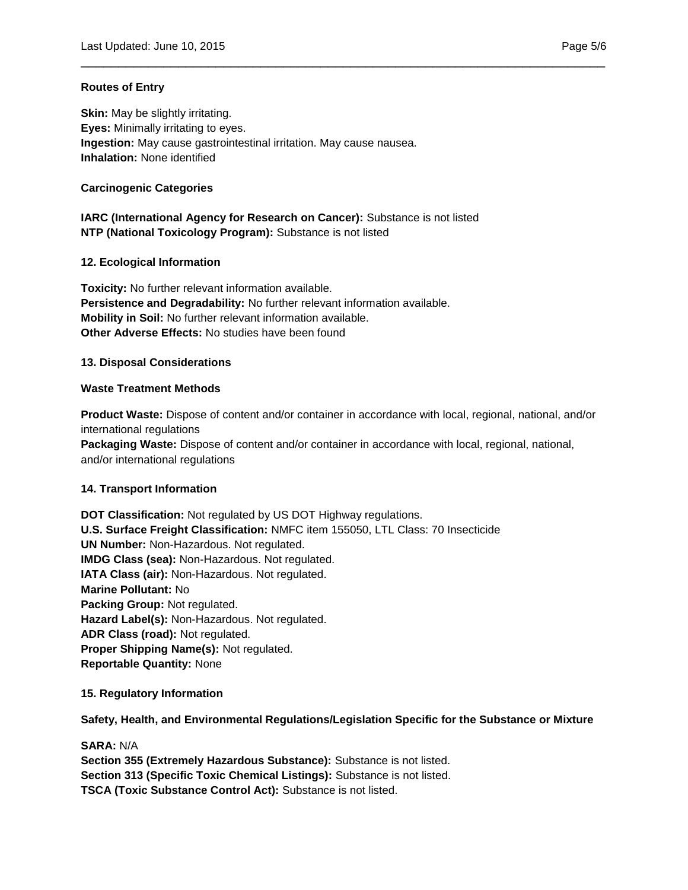# **Routes of Entry**

**Skin:** May be slightly irritating. **Eyes:** Minimally irritating to eyes. **Ingestion:** May cause gastrointestinal irritation. May cause nausea. **Inhalation:** None identified

# **Carcinogenic Categories**

# **IARC (International Agency for Research on Cancer):** Substance is not listed **NTP (National Toxicology Program):** Substance is not listed

# **12. Ecological Information**

**Toxicity:** No further relevant information available. **Persistence and Degradability:** No further relevant information available. **Mobility in Soil:** No further relevant information available. **Other Adverse Effects:** No studies have been found

# **13. Disposal Considerations**

# **Waste Treatment Methods**

**Product Waste:** Dispose of content and/or container in accordance with local, regional, national, and/or international regulations **Packaging Waste:** Dispose of content and/or container in accordance with local, regional, national, and/or international regulations

\_\_\_\_\_\_\_\_\_\_\_\_\_\_\_\_\_\_\_\_\_\_\_\_\_\_\_\_\_\_\_\_\_\_\_\_\_\_\_\_\_\_\_\_\_\_\_\_\_\_\_\_\_\_\_\_\_\_\_\_\_\_\_\_\_\_\_\_\_\_

# **14. Transport Information**

**DOT Classification:** Not regulated by US DOT Highway regulations. **U.S. Surface Freight Classification:** NMFC item 155050, LTL Class: 70 Insecticide **UN Number:** Non-Hazardous. Not regulated. **IMDG Class (sea):** Non-Hazardous. Not regulated. **IATA Class (air):** Non-Hazardous. Not regulated. **Marine Pollutant:** No **Packing Group:** Not regulated. **Hazard Label(s):** Non-Hazardous. Not regulated. **ADR Class (road):** Not regulated. **Proper Shipping Name(s):** Not regulated. **Reportable Quantity:** None

**15. Regulatory Information**

**Safety, Health, and Environmental Regulations/Legislation Specific for the Substance or Mixture**

**SARA:** N/A **Section 355 (Extremely Hazardous Substance):** Substance is not listed. **Section 313 (Specific Toxic Chemical Listings):** Substance is not listed. **TSCA (Toxic Substance Control Act):** Substance is not listed.